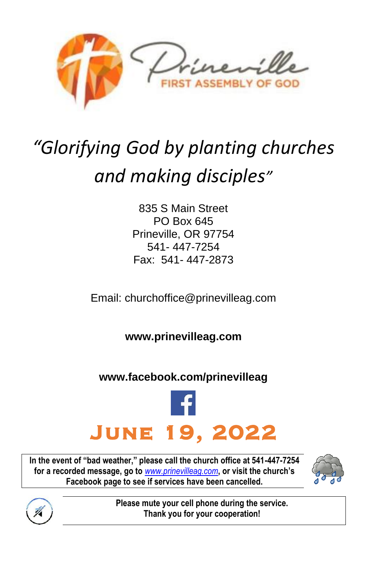

# *"Glorifying God by planting churches and making disciples"*

835 S Main Street PO Box 645 Prineville, OR 97754 541- 447-7254 Fax: 541- 447-2873

Email: [churchoffice@prinevilleag.com](mailto:churchoffice@prinevilleag.com)

**[www.prinevilleag.com](http://www.prinevilleag.com/)**

#### **[www.facebook.com/prinevilleag](http://www.facebook.com/prinevilleag)**



**In the event of "bad weather," please call the church office at 541-447-7254 for a recorded message, go to** *[www.prinevilleag.com](http://www.prinevilleag.com/)***, or visit the church's Facebook page to see if services have been cancelled.**





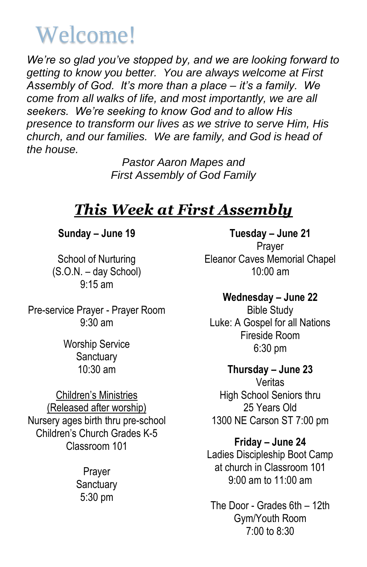## Welcome!

*We're so glad you've stopped by, and we are looking forward to getting to know you better. You are always welcome at First Assembly of God. It's more than a place – it's a family. We come from all walks of life, and most importantly, we are all seekers. We're seeking to know God and to allow His presence to transform our lives as we strive to serve Him, His church, and our families. We are family, and God is head of the house.*

> *Pastor Aaron Mapes and First Assembly of God Family*

### *This Week at First Assembly*

**Sunday – June 19**

School of Nurturing (S.O.N. – day School) 9:15 am

Pre-service Prayer - Prayer Room 9:30 am

> Worship Service **Sanctuary** 10:30 am

Children's Ministries (Released after worship) Nursery ages birth thru pre-school Children's Church Grades K-5 Classroom 101

> Prayer **Sanctuary** 5:30 pm

**Tuesday – June 21** Prayer Eleanor Caves Memorial Chapel 10:00 am

**Wednesday – June 22** Bible Study Luke: A Gospel for all Nations Fireside Room 6:30 pm

**Thursday – June 23** Veritas High School Seniors thru 25 Years Old 1300 NE Carson ST 7:00 pm

**Friday – June 24**

Ladies Discipleship Boot Camp at church in Classroom 101 9:00 am to 11:00 am

The Door - Grades 6th – 12th Gym/Youth Room 7:00 to 8:30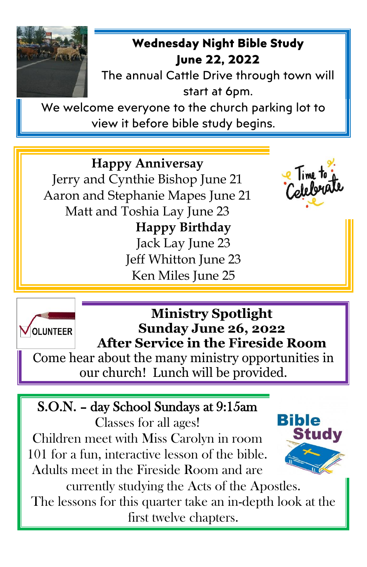

#### **Wednesday Night Bible Study June 22, 2022**

The annual Cattle Drive through town will start at 6pm.

We welcome everyone to the church parking lot to view it before bible study begins.

**Happy Anniversay** Jerry and Cynthie Bishop June 21 Aaron and Stephanie Mapes June 21 Matt and Toshia Lay June 23 **Happy Birthday** Jack Lay June 23 Jeff Whitton June 23 Ken Miles June 25





**Ministry Spotlight Sunday June 26, 2022 After Service in the Fireside Room**

Come hear about the many ministry opportunities in our church! Lunch will be provided.

## S.O.N. – day School Sundays at 9:15am

Classes for all ages! Children meet with Miss Carolyn in room 101 for a fun, interactive lesson of the bible. Adults meet in the Fireside Room and are



currently studying the Acts of the Apostles. The lessons for this quarter take an in-depth look at the first twelve chapters.